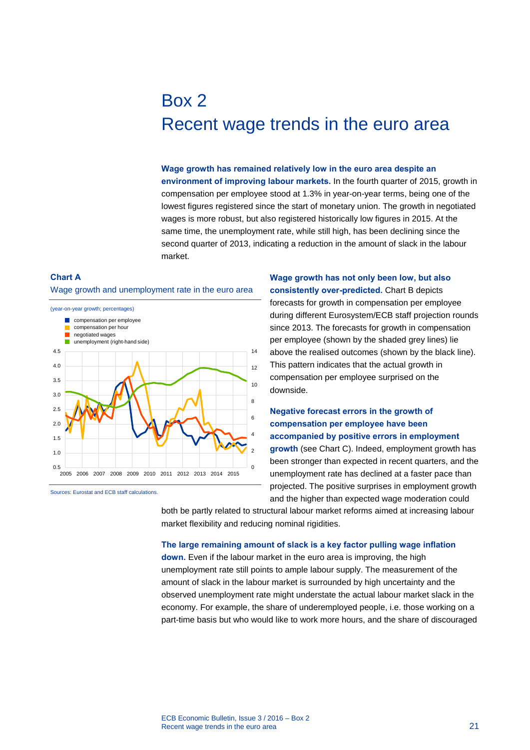# Box 2 Recent wage trends in the euro area

#### **Wage growth has remained relatively low in the euro area despite an**

**environment of improving labour markets.** In the fourth quarter of 2015, growth in compensation per employee stood at 1.3% in year-on-year terms, being one of the lowest figures registered since the start of monetary union. The growth in negotiated wages is more robust, but also registered historically low figures in 2015. At the same time, the unemployment rate, while still high, has been declining since the second quarter of 2013, indicating a reduction in the amount of slack in the labour market.

## **Chart A**  Wage growth and unemployment rate in the euro area



Sources: Eurostat and ECB staff calculations.

**Wage growth has not only been low, but also consistently over-predicted.** Chart B depicts forecasts for growth in compensation per employee during different Eurosystem/ECB staff projection rounds since 2013. The forecasts for growth in compensation per employee (shown by the shaded grey lines) lie above the realised outcomes (shown by the black line). This pattern indicates that the actual growth in compensation per employee surprised on the downside.

# **Negative forecast errors in the growth of compensation per employee have been accompanied by positive errors in employment growth** (see Chart C). Indeed, employment growth has been stronger than expected in recent quarters, and the unemployment rate has declined at a faster pace than projected. The positive surprises in employment growth and the higher than expected wage moderation could

both be partly related to structural labour market reforms aimed at increasing labour market flexibility and reducing nominal rigidities.

#### **The large remaining amount of slack is a key factor pulling wage inflation**

**down.** Even if the labour market in the euro area is improving, the high unemployment rate still points to ample labour supply. The measurement of the amount of slack in the labour market is surrounded by high uncertainty and the observed unemployment rate might understate the actual labour market slack in the economy. For example, the share of underemployed people, i.e. those working on a part-time basis but who would like to work more hours, and the share of discouraged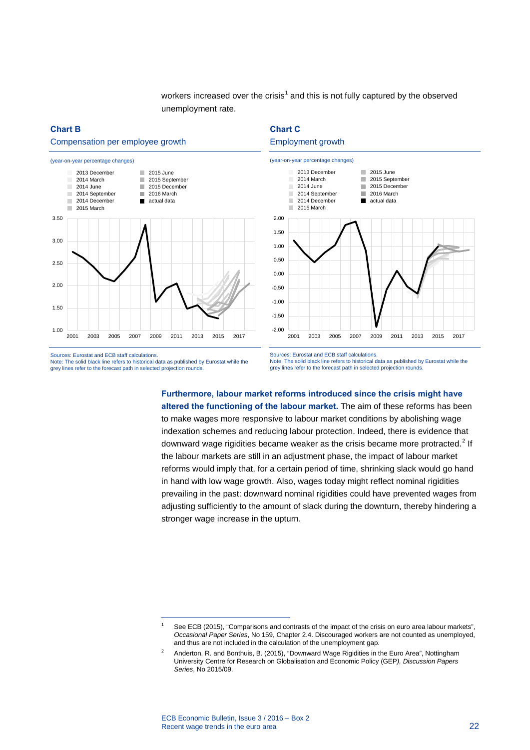workers increased over the crisis<sup>[1](#page-1-0)</sup> and this is not fully captured by the observed unemployment rate.

## **Chart B**

#### Compensation per employee growth









Sources: Eurostat and ECB staff calculations. Note: The solid black line refers to historical data as published by Eurostat while the grey lines refer to the forecast path in selected projection rounds.

-

Sources: Eurostat and ECB staff calculations. Note: The solid black line refers to historical data as published by Eurostat while the grey lines refer to the forecast path in selected projection rounds.

**Furthermore, labour market reforms introduced since the crisis might have altered the functioning of the labour market.** The aim of these reforms has been to make wages more responsive to labour market conditions by abolishing wage indexation schemes and reducing labour protection. Indeed, there is evidence that downward wage rigidities became weaker as the crisis became more protracted. $2$  If the labour markets are still in an adjustment phase, the impact of labour market reforms would imply that, for a certain period of time, shrinking slack would go hand in hand with low wage growth. Also, wages today might reflect nominal rigidities prevailing in the past: downward nominal rigidities could have prevented wages from adjusting sufficiently to the amount of slack during the downturn, thereby hindering a stronger wage increase in the upturn.

<span id="page-1-0"></span><sup>1</sup> See ECB (2015), "Comparisons and contrasts of the impact of the crisis on euro area labour markets", *Occasional Paper Series*, No 159, Chapter 2.4. Discouraged workers are not counted as unemployed, and thus are not included in the calculation of the unemployment gap.

<span id="page-1-1"></span><sup>2</sup> Anderton, R. and Bonthuis, B. (2015), "Downward Wage Rigidities in the Euro Area", Nottingham University Centre for Research on Globalisation and Economic Policy (GEP*), Discussion Papers Series*, No 2015/09.